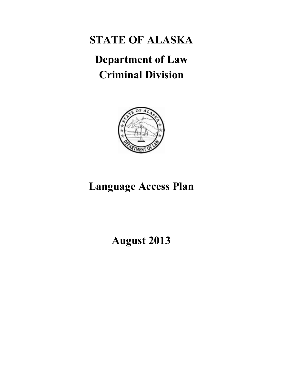**STATE OF ALASKA** 

# **Department of Law Criminal Division**



## **Language Access Plan**

## **August 2013**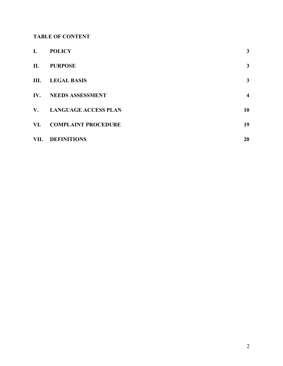## **TABLE OF CONTENT**

| I.                       | <b>POLICY</b>               | 3                       |
|--------------------------|-----------------------------|-------------------------|
| П.                       | <b>PURPOSE</b>              | 3                       |
| III.                     | <b>LEGAL BASIS</b>          | 3                       |
| $\mathbf{IV}_{\text{-}}$ | <b>NEEDS ASSESSMENT</b>     | $\overline{\mathbf{4}}$ |
| $V_{\bullet}$            | <b>LANGUAGE ACCESS PLAN</b> | 10                      |
| VI.                      | <b>COMPLAINT PROCEDURE</b>  | 19                      |
| VII.                     | <b>DEFINITIONS</b>          | 20                      |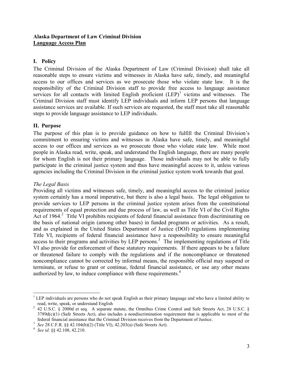#### **Alaska Department of Law Criminal Division Language Access Plan**

#### **I. Policy**

The Criminal Division of the Alaska Department of Law (Criminal Division) shall take all reasonable steps to ensure victims and witnesses in Alaska have safe, timely, and meaningful access to our offices and services as we prosecute those who violate state law. It is the responsibility of the Criminal Division staff to provide free access to language assistance services for all contacts with limited English proficient  $(LEP)^1$  victims and witnesses. The Criminal Division staff must identify LEP individuals and inform LEP persons that language assistance services are available. If such services are requested, the staff must take all reasonable steps to provide language assistance to LEP individuals.

#### **II. Purpose**

The purpose of this plan is to provide guidance on how to fulfill the Criminal Division's commitment to ensuring victims and witnesses in Alaska have safe, timely, and meaningful access to our offices and services as we prosecute those who violate state law. While most people in Alaska read, write, speak, and understand the English language, there are many people for whom English is not their primary language. Those individuals may not be able to fully participate in the criminal justice system and thus have meaningful access to it, unless various agencies including the Criminal Division in the criminal justice system work towards that goal.

#### *The Legal Basis*

Providing all victims and witnesses safe, timely, and meaningful access to the criminal justice system certainly has a moral imperative, but there is also a legal basis. The legal obligation to provide services to LEP persons in the criminal justice system arises from the constitutional requirements of equal protection and due process of law, as well as Title VI of the Civil Rights Act of 1964.<sup>2</sup> Title VI prohibits recipients of federal financial assistance from discriminating on the basis of national origin (among other bases) in funded programs or activities. As a result, and as explained in the United States Department of Justice (DOJ) regulations implementing Title VI, recipients of federal financial assistance have a responsibility to ensure meaningful access to their programs and activities by LEP persons.<sup>3</sup> The implementing regulations of Title VI also provide for enforcement of these statutory requirements. If there appears to be a failure or threatened failure to comply with the regulations and if the noncompliance or threatened noncompliance cannot be corrected by informal means, the responsible official may suspend or terminate, or refuse to grant or continue, federal financial assistance, or use any other means authorized by law, to induce compliance with these requirements.<sup>4</sup>

 $\overline{a}$  $1$  LEP individuals are persons who do not speak English as their primary language and who have a limited ability to read, write, speak, or understand English

 $2$  42 U.S.C. § 2000d et seq. A separate statute, the Omnibus Crime Control and Safe Streets Act, 28 U.S.C. §  $3789d(c)(1)$  (Safe Streets Act), also includes a nondiscrimination requirement that is applicable to most of the federal financial assistance that the Criminal Division receives from the Department of Justice.

<sup>3</sup> *See* 28 C.F.R. §§ 42.104(b)(2) (Title VI), 42.203(a) (Safe Streets Act).

<sup>4</sup> *See id*. §§ 42.108, 42.210.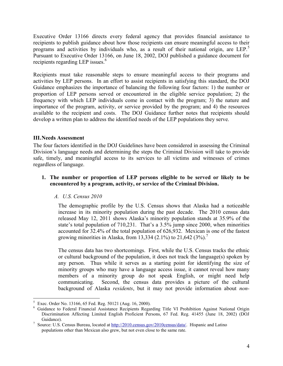Executive Order 13166 directs every federal agency that provides financial assistance to recipients to publish guidance about how those recipients can ensure meaningful access to their programs and activities by individuals who, as a result of their national origin, are LEP.<sup>5</sup> Pursuant to Executive Order 13166, on June 18, 2002, DOJ published a guidance document for recipients regarding LEP issues.<sup>6</sup>

Recipients must take reasonable steps to ensure meaningful access to their programs and activities by LEP persons. In an effort to assist recipients in satisfying this standard, the DOJ Guidance emphasizes the importance of balancing the following four factors: 1) the number or proportion of LEP persons served or encountered in the eligible service population; 2) the frequency with which LEP individuals come in contact with the program; 3) the nature and importance of the program, activity, or service provided by the program; and 4) the resources available to the recipient and costs. The DOJ Guidance further notes that recipients should develop a written plan to address the identified needs of the LEP populations they serve.

#### **III.Needs Assessment**

The four factors identified in the DOJ Guidelines have been considered in assessing the Criminal Division's language needs and determining the steps the Criminal Division will take to provide safe, timely, and meaningful access to its services to all victims and witnesses of crimes regardless of language.

#### **1. The number or proportion of LEP persons eligible to be served or likely to be encountered by a program, activity, or service of the Criminal Division.**

#### *A. U.S. Census 2010*

The demographic profile by the U.S. Census shows that Alaska had a noticeable increase in its minority population during the past decade. The 2010 census data released May 12, 2011 shows Alaska's minority population stands at 35.9% of the state's total population of 710,231. That's a 3.5% jump since 2000, when minorities accounted for 32.4% of the total population of 626,932. Mexican is one of the fastest growing minorities in Alaska, from 13,334 (2.1%) to 21,642 (3%).<sup>7</sup>

The census data has two shortcomings. First, while the U.S. Census tracks the ethnic or cultural background of the population, it does not track the language(s) spoken by any person. Thus while it serves as a starting point for identifying the size of minority groups who may have a language access issue, it cannot reveal how many members of a minority group do not speak English, or might need help communicating. Second, the census data provides a picture of the cultural background of Alaska *residents*, but it may not provide information about *non-*

 $\overline{a}$ 5 Exec. Order No. 13166, 65 Fed. Reg. 50121 (Aug. 16, 2000).

<sup>6</sup> Guidance to Federal Financial Assistance Recipients Regarding Title VI Prohibition Against National Origin Discrimination Affecting Limited English Proficient Persons, 67 Fed. Reg. 41455 (June 18, 2002) (DOJ Guidance).

<sup>&</sup>lt;sup>7</sup> Source: U.S. Census Bureau, located a[t http://2010.census.gov/2010census/data/.](http://2010.census.gov/2010census/data/) Hispanic and Latino populations other than Mexican also grew, but not even close to the same rate.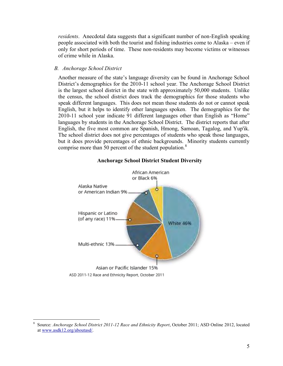*residents*. Anecdotal data suggests that a significant number of non-English speaking people associated with both the tourist and fishing industries come to Alaska – even if only for short periods of time. These non-residents may become victims or witnesses of crime while in Alaska.

#### *B. Anchorage School District*

 $\overline{a}$ 

Another measure of the state's language diversity can be found in Anchorage School District's demographics for the 2010-11 school year. The Anchorage School District is the largest school district in the state with approximately 50,000 students. Unlike the census, the school district does track the demographics for those students who speak different languages. This does not mean those students do not or cannot speak English, but it helps to identify other languages spoken. The demographics for the 2010-11 school year indicate 91 different languages other than English as "Home" languages by students in the Anchorage School District. The district reports that after English, the five most common are Spanish, Hmong, Samoan, Tagalog, and Yup'ik. The school district does not give percentages of students who speak those languages, but it does provide percentages of ethnic backgrounds. Minority students currently comprise more than 50 percent of the student population.<sup>8</sup>



#### **Anchorage School District Student Diversity**

<sup>8</sup> Source: *Anchorage School District 2011-12 Race and Ethnicity Report*, October 2011; ASD Online 2012, located a[t www.asdk12.org/aboutasd/.](http://www.asdk12.org/aboutasd/)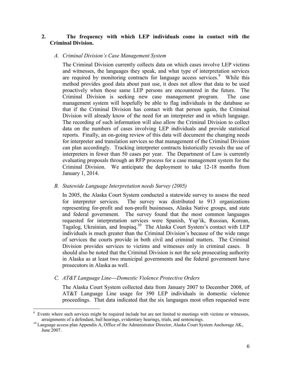#### **2. The frequency with which LEP individuals come in contact with the Criminal Division.**

#### *A. Criminal Division's Case Management System*

The Criminal Division currently collects data on which cases involve LEP victims and witnesses, the languages they speak, and what type of interpretation services are required by monitoring contracts for language access services.<sup>9</sup> While this method provides good data about past use, it does not allow that data to be used proactively when those same LEP persons are encountered in the future. The Criminal Division is seeking new case management program. The case management system will hopefully be able to flag individuals in the database so that if the Criminal Division has contact with that person again, the Criminal Division will already know of the need for an interpreter and in which language. The recording of such information will also allow the Criminal Division to collect data on the numbers of cases involving LEP individuals and provide statistical reports. Finally, an on-going review of this data will document the changing needs for interpreter and translation services so that management of the Criminal Division can plan accordingly. Tracking interpreter contracts historically reveals the use of interpreters in fewer than 50 cases per year. The Department of Law is currently evaluating proposals through an RFP process for a case management system for the Criminal Division. We anticipate the deployment to take 12-18 months from January 1, 2014.

#### *B. Statewide Language Interpretation needs Survey (2005)*

In 2005, the Alaska Court System conducted a statewide survey to assess the need for interpreter services. The survey was distributed to 913 organizations representing for-profit and non-profit businesses, Alaska Native groups, and state and federal government. The survey found that the most common languages requested for interpretation services were Spanish, Yup'ik, Russian, Korean, Tagalog, Ukrainian, and Inupiaq.<sup>10</sup> The Alaska Court System's contact with LEP individuals is much greater than the Criminal Division's because of the wide range of services the courts provide in both civil and criminal matters. The Criminal Division provides services to victims and witnesses only in criminal cases. It should also be noted that the Criminal Division is not the sole prosecuting authority in Alaska as at least two municipal governments and the federal government have prosecutors in Alaska as well.

#### *C. AT&T Language Line---Domestic Violence Protective Orders*

 $\overline{a}$ 

The Alaska Court System collected data from January 2007 to December 2008, of AT&T Language Line usage for 390 LEP individuals in domestic violence proceedings. That data indicated that the six languages most often requested were

<sup>9</sup> Events where such services might be required include but are not limited to meetings with victims or witnesses, arraignments of a defendant, bail hearings, evidentiary hearings, trials, and sentencings.

<sup>&</sup>lt;sup>10</sup> Language access plan Appendix A, Office of the Administrator Director, Alaska Court System Anchorage AK, June 2007.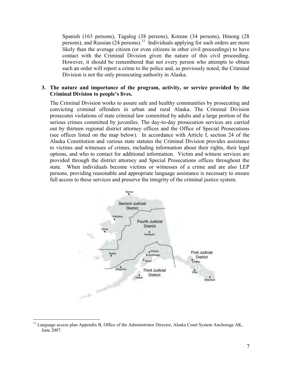Spanish (163 persons), Tagalog (38 persons), Korean (34 persons), Hmong (28 persons), and Russian (24 persons).<sup>11</sup> Individuals applying for such orders are more likely than the average citizen (or even citizens in other civil proceedings) to have contact with the Criminal Division given the nature of this civil proceeding. However, it should be remembered that not every person who attempts to obtain such an order will report a crime to the police and, as previously noted, the Criminal Division is not the only prosecuting authority in Alaska.

#### **3. The nature and importance of the program, activity, or service provided by the Criminal Division to people's lives.**

The Criminal Division works to assure safe and healthy communities by prosecuting and convicting criminal offenders in urban and rural Alaska. The Criminal Division prosecutes violations of state criminal law committed by adults and a large portion of the serious crimes committed by juveniles. The day-to-day prosecution services are carried out by thirteen regional district attorney offices and the Office of Special Prosecutions (see offices listed on the map below). In accordance with Article I, section 24 of the Alaska Constitution and various state statutes the Criminal Division provides assistance to victims and witnesses of crimes, including information about their rights, their legal options, and who to contact for additional information. Victim and witness services are provided through the district attorney and Special Prosecutions offices throughout the state. When individuals become victims or witnesses of a crime and are also LEP persons, providing reasonable and appropriate language assistance is necessary to ensure full access to these services and preserve the integrity of the criminal justice system.



 $\overline{a}$ <sup>11</sup> Language access plan Appendix B, Office of the Administrator Director, Alaska Court System Anchorage AK, June 2007.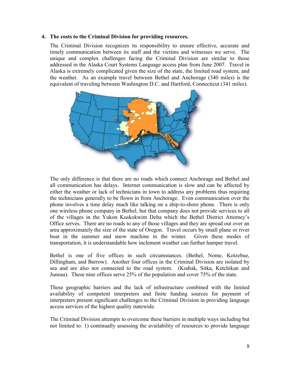#### **4. The costs to the Criminal Division for providing resources.**

The Criminal Division recognizes its responsibility to ensure effective, accurate and timely communication between its staff and the victims and witnesses we serve. The unique and complex challenges facing the Criminal Division are similar to those addressed in the Alaska Court Systems Language access plan from June 2007. Travel in Alaska is extremely complicated given the size of the state, the limited road system, and the weather. As an example travel between Bethel and Anchorage (340 miles) is the equivalent of traveling between Washington D.C. and Hartford, Connecticut (341 miles).



The only difference is that there are no roads which connect Anchorage and Bethel and all communication has delays. Internet communication is slow and can be affected by either the weather or lack of technicians in town to address any problems thus requiring the technicians generally to be flown in from Anchorage. Even communication over the phone involves a time delay much like talking on a ship-to-shore phone. There is only one wireless phone company in Bethel, but that company does not provide services to all of the villages in the Yukon Kuskokwim Delta which the Bethel District Attorney's Office serves. There are no roads to any of those villages and they are spread out over an area approximately the size of the state of Oregon. Travel occurs by small plane or river boat in the summer and snow machine in the winter. Given these modes of transportation, it is understandable how inclement weather can further hamper travel.

Bethel is one of five offices in such circumstances. (Bethel, Nome, Kotzebue, Dillingham, and Barrow). Another four offices in the Criminal Division are isolated by sea and are also not connected to the road system. (Kodiak, Sitka, Ketchikan and Juneau). These nine offices serve 25% of the population and cover 75% of the state.

These geographic barriers and the lack of infrastructure combined with the limited availability of competent interpreters and finite funding sources for payment of interpreters present significant challenges to the Criminal Division in providing language access services of the highest quality statewide.

The Criminal Division attempts to overcome these barriers in multiple ways including but not limited to: 1) continually assessing the availability of resources to provide language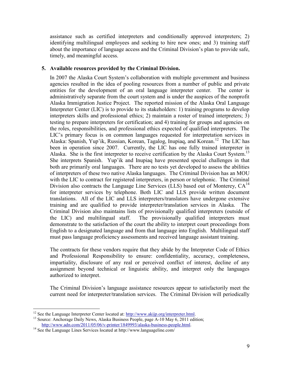assistance such as certified interpreters and conditionally approved interpreters; 2) identifying multilingual employees and seeking to hire new ones; and 3) training staff about the importance of language access and the Criminal Division's plan to provide safe, timely, and meaningful access.

#### **5. Available resources provided by the Criminal Division.**

In 2007 the Alaska Court System's collaboration with multiple government and business agencies resulted in the idea of pooling resources from a number of public and private entities for the development of an oral language interpreter center. The center is administratively separate from the court system and is under the auspices of the nonprofit Alaska Immigration Justice Project. The reported mission of the Alaska Oral Language Interpreter Center (LIC) is to provide to its stakeholders: 1) training programs to develop interpreters skills and professional ethics; 2) maintain a roster of trained interpreters; 3) testing to prepare interpreters for certification; and 4) training for groups and agencies on the roles, responsibilities, and professional ethics expected of qualified interpreters. The LIC's primary focus is on common languages requested for interpretation services in Alaska: Spanish, Yup'ik, Russian, Korean, Tagalog, Inupiaq, and Korean.<sup>12</sup> The LIC has been in operation since 2007. Currently, the LIC has one fully trained interpreter in Alaska. She is the first interpreter to receive certification by the Alaska Court System.<sup>13</sup> She interprets Spanish. Yup'ik and Inupiaq have presented special challenges in that both are primarily oral languages. There are no tests yet developed to assess the abilities of interpreters of these two native Alaska languages. The Criminal Division has an MOU with the LIC to contract for registered interpreters, in person or telephonic. The Criminal Division also contracts the Language Line Services (LLS) based out of Monterey,  $CA^{14}$ for interpreter services by telephone. Both LIC and LLS provide written document translations. All of the LIC and LLS interpreters/translators have undergone extensive training and are qualified to provide interpreter/translation services in Alaska. The Criminal Division also maintains lists of provisionally qualified interpreters (outside of the LIC) and multilingual staff. The provisionally qualified interpreters must demonstrate to the satisfaction of the court the ability to interpret court proceedings from English to a designated language and from that language into English. Multilingual staff must pass language proficiency assessments and received language assistant training.

The contracts for these vendors require that they abide by the Interpreter Code of Ethics and Professional Responsibility to ensure: confidentiality, accuracy, completeness, impartiality, disclosure of any real or perceived conflict of interest, decline of any assignment beyond technical or linguistic ability, and interpret only the languages authorized to interpret.

The Criminal Division's language assistance resources appear to satisfactorily meet the current need for interpreter/translation services. The Criminal Division will periodically

 $\overline{a}$ 

<sup>&</sup>lt;sup>12</sup> See the Language Interpreter Center located at: http://www.akijp.org/interpreter.html.

<sup>&</sup>lt;sup>13</sup> Source: Anchorage Daily News, Alaska Business People, page A-10 May 6, 2011 edition; [http://www.adn.com/2011/05/06/v-printer/1849993/alaska-business-people.html.](http://www.adn.com/2011/05/06/v-printer/1849993/alaska-business-people.html)

<sup>&</sup>lt;sup>14</sup> See the Language Lines Services located at http://www.languageline.com/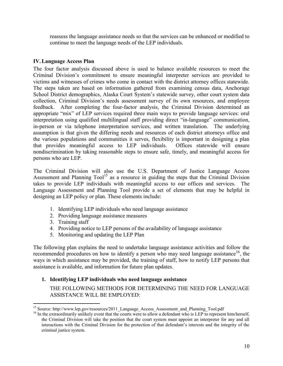reassess the language assistance needs so that the services can be enhanced or modified to continue to meet the language needs of the LEP individuals.

#### **IV.Language Access Plan**

The four factor analysis discussed above is used to balance available resources to meet the Criminal Division's commitment to ensure meaningful interpreter services are provided to victims and witnesses of crimes who come in contact with the district attorney offices statewide. The steps taken are based on information gathered from examining census data, Anchorage School District demographics, Alaska Court System's statewide survey, other court system data collection, Criminal Division's needs assessment survey of its own resources, and employee feedback. After completing the four-factor analysis, the Criminal Division determined an appropriate "mix" of LEP services required three main ways to provide language services: oral interpretation using qualified multilingual staff providing direct "in-language" communication, in-person or via telephone interpretation services, and written translation. The underlying assumption is that given the differing needs and resources of each district attorneys office and the various populations and communities it serves, flexibility is important in designing a plan that provides meaningful access to LEP individuals. Offices statewide will ensure nondiscrimination by taking reasonable steps to ensure safe, timely, and meaningful access for persons who are LEP.

The Criminal Division will also use the U.S. Department of Justice Language Access Assessment and Planning  $Tool<sup>15</sup>$  as a resource in guiding the steps that the Criminal Division takes to provide LEP individuals with meaningful access to our offices and services. The Language Assessment and Planning Tool provide a set of elements that may be helpful in designing an LEP policy or plan. These elements include:

- 1. Identifying LEP individuals who need language assistance
- 2. Providing language assistance measures
- 3. Training staff
- 4. Providing notice to LEP persons of the availability of language assistance
- 5. Monitoring and updating the LEP Plan

The following plan explains the need to undertake language assistance activities and follow the recommended procedures on how to identify a person who may need language assistance<sup>16</sup>, the ways in which assistance may be provided, the training of staff, how to notify LEP persons that assistance is available, and information for future plan updates.

## **1. Identifying LEP individuals who need language assistance**

THE FOLLOWING METHODS FOR DETERMINING THE NEED FOR LANGUAGE ASSISTANCE WILL BE EMPLOYED:

 $\overline{a}$ <sup>15</sup> Source: http://www.lep.gov/resources/2011\_Language\_Access\_Assessment\_and\_Planning\_Tool.pdf

<sup>&</sup>lt;sup>16</sup> In the extraordinarily unlikely event that the courts were to allow a defendant who is LEP to represent him/herself, the Criminal Division will take the position that the court system must appoint an interpreter for any and all interactions with the Criminal Division for the protection of that defendant's interests and the integrity of the criminal justice system.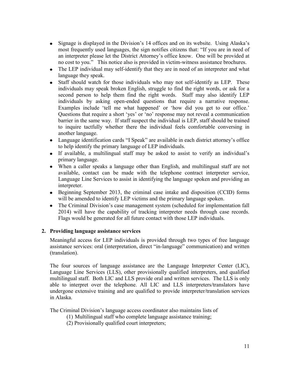- Signage is displayed in the Division's 14 offices and on its website. Using Alaska's most frequently used languages, the sign notifies citizens that: "If you are in need of an interpreter please let the District Attorney's office know. One will be provided at no cost to you." This notice also is provided in victim-witness assistance brochures.
- The LEP individual may self-identify that they are in need of an interpreter and what language they speak.
- Staff should watch for those individuals who may not self-identify as LEP. These individuals may speak broken English, struggle to find the right words, or ask for a second person to help them find the right words. Staff may also identify LEP individuals by asking open-ended questions that require a narrative response. Examples include 'tell me what happened' or 'how did you get to our office.' Questions that require a short 'yes' or 'no' response may not reveal a communication barrier in the same way. If staff suspect the individual is LEP, staff should be trained to inquire tactfully whether there the individual feels comfortable conversing in another language.
- Language identification cards "I Speak" are available in each district attorney's office to help identify the primary language of LEP individuals.
- If available, a multilingual staff may be asked to assist to verify an individual's primary language.
- When a caller speaks a language other than English, and multilingual staff are not available, contact can be made with the telephone contract interpreter service, Language Line Services to assist in identifying the language spoken and providing an interpreter.
- Beginning September 2013, the criminal case intake and disposition (CCID) forms will be amended to identify LEP victims and the primary language spoken.
- The Criminal Division's case management system (scheduled for implementation fall 2014) will have the capability of tracking interpreter needs through case records. Flags would be generated for all future contact with those LEP individuals.

## **2. Providing language assistance services**

Meaningful access for LEP individuals is provided through two types of free language assistance services: oral (interpretation, direct "in-language" communication) and written (translation).

The four sources of language assistance are the Language Interpreter Center (LIC), Language Line Services (LLS), other provisionally qualified interpreters, and qualified multilingual staff. Both LIC and LLS provide oral and written services. The LLS is only able to interpret over the telephone. All LIC and LLS interpreters/translators have undergone extensive training and are qualified to provide interpreter/translation services in Alaska.

The Criminal Division's language access coordinator also maintains lists of

- (1) Multilingual staff who complete language assistance training;
- (2) Provisionally qualified court interpreters;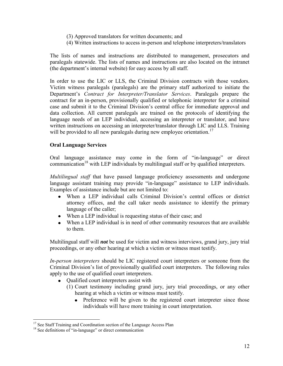- (3) Approved translators for written documents; and
- (4) Written instructions to access in-person and telephone interpreters/translators

The lists of names and instructions are distributed to management, prosecutors and paralegals statewide. The lists of names and instructions are also located on the intranet (the department's internal website) for easy access by all staff.

In order to use the LIC or LLS, the Criminal Division contracts with those vendors. Victim witness paralegals (paralegals) are the primary staff authorized to initiate the Department's *Contract for Interpreter/Translator Services*. Paralegals prepare the contract for an in-person, provisionally qualified or telephonic interpreter for a criminal case and submit it to the Criminal Division's central office for immediate approval and data collection. All current paralegals are trained on the protocols of identifying the language needs of an LEP individual, accessing an interpreter or translator, and have written instructions on accessing an interpreter/translator through LIC and LLS. Training will be provided to all new paralegals during new employee orientation.<sup>17</sup>

#### **Oral Language Services**

Oral language assistance may come in the form of "in-language" or direct communication<sup>18</sup> with LEP individuals by multilingual staff or by qualified interpreters.

*Multilingual staff* that have passed language proficiency assessments and undergone language assistant training may provide "in-language" assistance to LEP individuals. Examples of assistance include but are not limited to:

- When a LEP individual calls Criminal Division's central offices or district attorney offices, and the call taker needs assistance to identify the primary language of the caller;
- When a LEP individual is requesting status of their case; and
- When a LEP individual is in need of other community resources that are available to them.

Multilingual staff will *not* be used for victim and witness interviews, grand jury, jury trial proceedings, or any other hearing at which a victim or witness must testify.

*In-person interpreters* should be LIC registered court interpreters or someone from the Criminal Division's list of provisionally qualified court interpreters. The following rules apply to the use of qualified court interpreters.

- Qualified court interpreters assist with  $\bullet$ 
	- (1) Court testimony including grand jury, jury trial proceedings, or any other hearing at which a victim or witness must testify.
		- Preference will be given to the registered court interpreter since those individuals will have more training in court interpretation.

 $\overline{a}$ 

<sup>&</sup>lt;sup>17</sup> See Staff Training and Coordination section of the Language Access Plan

<sup>&</sup>lt;sup>18</sup> See definitions of "in-language" or direct communication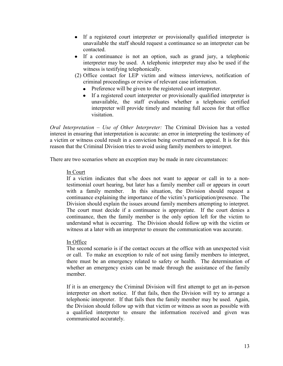- If a registered court interpreter or provisionally qualified interpreter is unavailable the staff should request a continuance so an interpreter can be contacted.
- If a continuance is not an option, such as grand jury, a telephonic interpreter may be used. A telephonic interpreter may also be used if the witness is testifying telephonically.
- (2) Office contact for LEP victim and witness interviews, notification of criminal proceedings or review of relevant case information.
	- Preference will be given to the registered court interpreter.
	- If a registered court interpreter or provisionally qualified interpreter is unavailable, the staff evaluates whether a telephonic certified interpreter will provide timely and meaning full access for that office visitation.

*Oral Interpretation – Use of Other Interpreter:* The Criminal Division has a vested interest in ensuring that interpretation is accurate: an error in interpreting the testimony of a victim or witness could result in a conviction being overturned on appeal. It is for this reason that the Criminal Division tries to avoid using family members to interpret.

There are two scenarios where an exception may be made in rare circumstances:

#### In Court

If a victim indicates that s/he does not want to appear or call in to a nontestimonial court hearing, but later has a family member call or appears in court with a family member. In this situation, the Division should request a continuance explaining the importance of the victim's participation/presence. The Division should explain the issues around family members attempting to interpret. The court must decide if a continuance is appropriate. If the court denies a continuance, then the family member is the only option left for the victim to understand what is occurring. The Division should follow up with the victim or witness at a later with an interpreter to ensure the communication was accurate.

#### In Office

The second scenario is if the contact occurs at the office with an unexpected visit or call. To make an exception to rule of not using family members to interpret, there must be an emergency related to safety or health. The determination of whether an emergency exists can be made through the assistance of the family member.

If it is an emergency the Criminal Division will first attempt to get an in-person interpreter on short notice. If that fails, then the Division will try to arrange a telephonic interpreter. If that fails then the family member may be used. Again, the Division should follow up with that victim or witness as soon as possible with a qualified interpreter to ensure the information received and given was communicated accurately.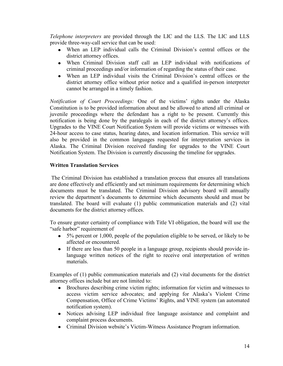*Telephone interpreters* are provided through the LIC and the LLS. The LIC and LLS provide three-way-call service that can be used:

- When an LEP individual calls the Criminal Division's central offices or the district attorney offices.
- When Criminal Division staff call an LEP individual with notifications of criminal proceedings and/or information of regarding the status of their case.
- When an LEP individual visits the Criminal Division's central offices or the district attorney office without prior notice and a qualified in-person interpreter cannot be arranged in a timely fashion.

*Notification of Court Proceedings:* One of the victims' rights under the Alaska Constitution is to be provided information about and be allowed to attend all criminal or juvenile proceedings where the defendant has a right to be present. Currently this notification is being done by the paralegals in each of the district attorney's offices. Upgrades to the VINE Court Notification System will provide victims or witnesses with 24-hour access to case status, hearing dates, and location information. This service will also be provided in the common languages requested for interpretation services in Alaska. The Criminal Division received funding for upgrades to the VINE Court Notification System. The Division is currently discussing the timeline for upgrades.

#### **Written Translation Services**

The Criminal Division has established a translation process that ensures all translations are done effectively and efficiently and set minimum requirements for determining which documents must be translated. The Criminal Division advisory board will annually review the department's documents to determine which documents should and must be translated. The board will evaluate (1) public communication materials and (2) vital documents for the district attorney offices.

To ensure greater certainty of compliance with Title VI obligation, the board will use the "safe harbor" requirement of

- 5% percent or 1,000, people of the population eligible to be served, or likely to be affected or encountered.
- If there are less than 50 people in a language group, recipients should provide inlanguage written notices of the right to receive oral interpretation of written materials.

Examples of (1) public communication materials and (2) vital documents for the district attorney offices include but are not limited to:

- Brochures describing crime victim rights; information for victim and witnesses to access victim service advocates; and applying for Alaska's Violent Crime Compensation, Office of Crime Victims' Rights, and VINE system (an automated notification system).
- Notices advising LEP individual free language assistance and complaint and  $\bullet$ complaint process documents.
- Criminal Division website's Victim-Witness Assistance Program information.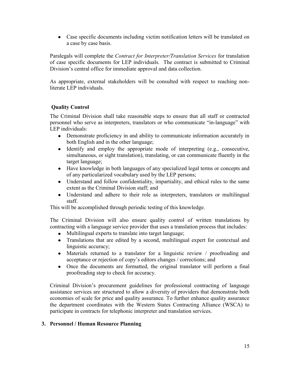Case specific documents including victim notification letters will be translated on a case by case basis.

Paralegals will complete the *Contract for Interpreter/Translation Services* for translation of case specific documents for LEP individuals. The contract is submitted to Criminal Division's central office for immediate approval and data collection.

As appropriate, external stakeholders will be consulted with respect to reaching nonliterate LEP individuals.

## **Quality Control**

The Criminal Division shall take reasonable steps to ensure that all staff or contracted personnel who serve as interpreters, translators or who communicate "in-language" with LEP individuals:

- Demonstrate proficiency in and ability to communicate information accurately in both English and in the other language;
- Identify and employ the appropriate mode of interpreting (e.g., consecutive, simultaneous, or sight translation), translating, or can communicate fluently in the target language;
- Have knowledge in both languages of any specialized legal terms or concepts and of any particularized vocabulary used by the LEP persons;
- Understand and follow confidentiality, impartiality, and ethical rules to the same extent as the Criminal Division staff; and
- Understand and adhere to their role as interpreters, translators or multilingual staff.

This will be accomplished through periodic testing of this knowledge.

The Criminal Division will also ensure quality control of written translations by contracting with a language service provider that uses a translation process that includes:

- Multilingual experts to translate into target language;
- Translations that are edited by a second, multilingual expert for contextual and linguistic accuracy;
- Materials returned to a translator for a linguistic review / proofreading and acceptance or rejection of copy's editors changes / corrections; and
- Once the documents are formatted, the original translator will perform a final  $\bullet$ proofreading step to check for accuracy.

Criminal Division's procurement guidelines for professional contracting of language assistance services are structured to allow a diversity of providers that demonstrate both economies of scale for price and quality assurance. To further enhance quality assurance the department coordinates with the Western States Contracting Alliance (WSCA) to participate in contracts for telephonic interpreter and translation services.

## **3. Personnel / Human Resource Planning**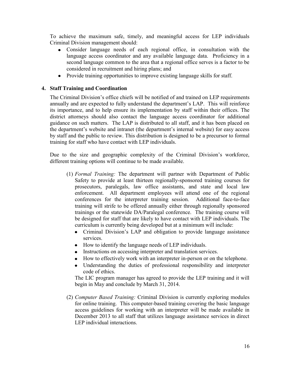To achieve the maximum safe, timely, and meaningful access for LEP individuals Criminal Division management should:

- Consider language needs of each regional office, in consultation with the language access coordinator and any available language data. Proficiency in a second language common to the area that a regional office serves is a factor to be considered in recruitment and hiring plans; and
- Provide training opportunities to improve existing language skills for staff.

#### **4. Staff Training and Coordination**

The Criminal Division's office chiefs will be notified of and trained on LEP requirements annually and are expected to fully understand the department's LAP. This will reinforce its importance, and to help ensure its implementation by staff within their offices. The district attorneys should also contact the language access coordinator for additional guidance on such matters. The LAP is distributed to all staff, and it has been placed on the department's website and intranet (the department's internal website) for easy access by staff and the public to review. This distribution is designed to be a precursor to formal training for staff who have contact with LEP individuals.

Due to the size and geographic complexity of the Criminal Division's workforce, different training options will continue to be made available.

- (1) *Formal Training:* The department will partner with Department of Public Safety to provide at least thirteen regionally-sponsored training courses for prosecutors, paralegals, law office assistants, and state and local law enforcement. All department employees will attend one of the regional conferences for the interpreter training session. Additional face-to-face training will strife to be offered annually either through regionally sponsored trainings or the statewide DA/Paralegal conference. The training course will be designed for staff that are likely to have contact with LEP individuals. The curriculum is currently being developed but at a minimum will include:
	- Criminal Division's LAP and obligation to provide language assistance services.
	- How to identify the language needs of LEP individuals.
	- Instructions on accessing interpreter and translation services.  $\bullet$
	- How to effectively work with an interpreter in-person or on the telephone.
	- Understanding the duties of professional responsibility and interpreter code of ethics.

The LIC program manager has agreed to provide the LEP training and it will begin in May and conclude by March 31, 2014.

(2) *Computer Based Training:* Criminal Division is currently exploring modules for online training. This computer-based training covering the basic language access guidelines for working with an interpreter will be made available in December 2013 to all staff that utilizes language assistance services in direct LEP individual interactions.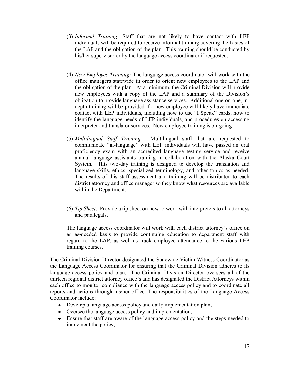- (3) *Informal Training:* Staff that are not likely to have contact with LEP individuals will be required to receive informal training covering the basics of the LAP and the obligation of the plan. This training should be conducted by his/her supervisor or by the language access coordinator if requested.
- (4) *New Employee Training:* The language access coordinator will work with the office managers statewide in order to orient new employees to the LAP and the obligation of the plan. At a minimum, the Criminal Division will provide new employees with a copy of the LAP and a summary of the Division's obligation to provide language assistance services. Additional one-on-one, indepth training will be provided if a new employee will likely have immediate contact with LEP individuals, including how to use "I Speak" cards, how to identify the language needs of LEP individuals, and procedures on accessing interpreter and translator services. New employee training is on-going.
- (5) *Multilingual Staff Training*: Multilingual staff that are requested to communicate "in-language" with LEP individuals will have passed an oral proficiency exam with an accredited language testing service and receive annual language assistants training in collaboration with the Alaska Court System. This two-day training is designed to develop the translation and language skills, ethics, specialized terminology, and other topics as needed. The results of this staff assessment and training will be distributed to each district attorney and office manager so they know what resources are available within the Department.
- (6) *Tip Sheet*: Provide a tip sheet on how to work with interpreters to all attorneys and paralegals.

The language access coordinator will work with each district attorney's office on an as-needed basis to provide continuing education to department staff with regard to the LAP, as well as track employee attendance to the various LEP training courses.

The Criminal Division Director designated the Statewide Victim Witness Coordinator as the Language Access Coordinator for ensuring that the Criminal Division adheres to its language access policy and plan. The Criminal Division Director oversees all of the thirteen regional district attorney office's and has designated the District Attorneys within each office to monitor compliance with the language access policy and to coordinate all reports and actions through his/her office. The responsibilities of the Language Access Coordinator include:

- Develop a language access policy and daily implementation plan,
- Oversee the language access policy and implementation,
- Ensure that staff are aware of the language access policy and the steps needed to implement the policy,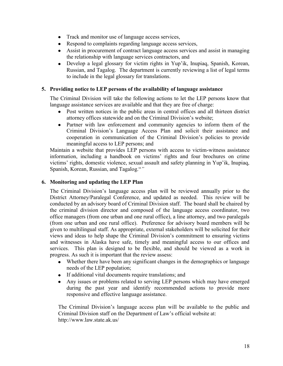- Track and monitor use of language access services,
- Respond to complaints regarding language access services,
- Assist in procurement of contract language access services and assist in managing the relationship with language services contractors, and
- Develop a legal glossary for victim rights in Yup'ik, Inupiaq, Spanish, Korean,  $\bullet$ Russian, and Tagalog. The department is currently reviewing a list of legal terms to include in the legal glossary for translations.

### **5. Providing notice to LEP persons of the availability of language assistance**

The Criminal Division will take the following actions to let the LEP persons know that language assistance services are available and that they are free of charge:

- Post written notices in the public areas in central offices and all thirteen district attorney offices statewide and on the Criminal Division's website;
- Partner with law enforcement and community agencies to inform them of the Criminal Division's Language Access Plan and solicit their assistance and cooperation in communication of the Criminal Division's policies to provide meaningful access to LEP persons; and

Maintain a website that provides LEP persons with access to victim-witness assistance information, including a handbook on victims' rights and four brochures on crime victims' rights, domestic violence, sexual assault and safety planning in Yup'ik, Inupiaq, Spanish, Korean, Russian, and Tagalog."*"*

### **6. Monitoring and updating the LEP Plan**

The Criminal Division's language access plan will be reviewed annually prior to the District Attorney/Paralegal Conference, and updated as needed. This review will be conducted by an advisory board of Criminal Division staff. The board shall be chaired by the criminal division director and composed of the language access coordinator, two office managers (from one urban and one rural office), a line attorney, and two paralegals (from one urban and one rural office). Preference for advisory board members will be given to multilingual staff. As appropriate, external stakeholders will be solicited for their views and ideas to help shape the Criminal Division's commitment to ensuring victims and witnesses in Alaska have safe, timely and meaningful access to our offices and services. This plan is designed to be flexible, and should be viewed as a work in progress. As such it is important that the review assess:

- Whether there have been any significant changes in the demographics or language needs of the LEP population;
- If additional vital documents require translations; and
- Any issues or problems related to serving LEP persons which may have emerged  $\bullet$ during the past year and identify recommended actions to provide more responsive and effective language assistance.

The Criminal Division's language access plan will be available to the public and Criminal Division staff on the Department of Law's official website at: http://www.law.state.ak.us/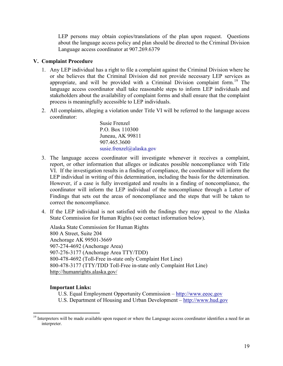LEP persons may obtain copies/translations of the plan upon request. Questions about the language access policy and plan should be directed to the Criminal Division Language access coordinator at 907.269.6379

#### **V. Complaint Procedure**

- 1. Any LEP individual has a right to file a complaint against the Criminal Division where he or she believes that the Criminal Division did not provide necessary LEP services as appropriate, and will be provided with a Criminal Division complaint form.<sup>19</sup> The language access coordinator shall take reasonable steps to inform LEP individuals and stakeholders about the availability of complaint forms and shall ensure that the complaint process is meaningfully accessible to LEP individuals.
- 2. All complaints, alleging a violation under Title VI will be referred to the language access coordinator:

Susie Frenzel P.O. Box 110300 Juneau, AK 99811 907.465.3600 [susie.frenzel@alaska.gov](mailto:azucena.frenzel@alaska.gov)

- 3. The language access coordinator will investigate whenever it receives a complaint, report, or other information that alleges or indicates possible noncompliance with Title VI. If the investigation results in a finding of compliance, the coordinator will inform the LEP individual in writing of this determination, including the basis for the determination. However, if a case is fully investigated and results in a finding of noncompliance, the coordinator will inform the LEP individual of the noncompliance through a Letter of Findings that sets out the areas of noncompliance and the steps that will be taken to correct the noncompliance.
- 4. If the LEP individual is not satisfied with the findings they may appeal to the Alaska State Commission for Human Rights (see contact information below).

Alaska State Commission for Human Rights 800 A Street, Suite 204 Anchorage AK 99501-3669 907-274-4692 (Anchorage Area) 907-276-3177 (Anchorage Area TTY/TDD) 800-478-4692 (Toll-Free in-state only Complaint Hot Line) 800-478-3177 (TTY/TDD Toll-Free in-state only Complaint Hot Line) <http://humanrights.alaska.gov/>

#### **Important Links:**

 $\overline{a}$ 

[U.S. Equal Employment Opportunity Commission](http://www.eeoc.gov/) – [http://www.eeoc.gov](http://www.eeoc.gov/) 

[U.S. Department of Housing and Urban Development](http://portal.hud.gov/portal/page/portal/HUD/topics/housing_discrimination) – [http://www.hud.gov](http://www.hud.gov/)

<sup>&</sup>lt;sup>19</sup> Interpreters will be made available upon request or where the Language access coordinator identifies a need for an interpreter.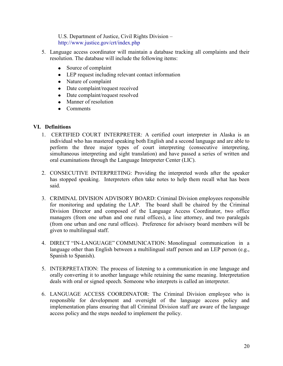[U.S. Department of Justice, Civil Rights Division](http://www.justice.gov/crt/) – <http://www.justice.gov/crt/index.php>

- 5. Language access coordinator will maintain a database tracking all complaints and their resolution. The database will include the following items:
	- Source of complaint
	- LEP request including relevant contact information
	- Nature of complaint
	- Date complaint/request received
	- Date complaint/request resolved
	- Manner of resolution
	- Comments

#### **VI. Definitions**

- 1. CERTIFIED COURT INTERPRETER: A certified court interpreter in Alaska is an individual who has mastered speaking both English and a second language and are able to perform the three major types of court interpreting (consecutive interpreting, simultaneous interpreting and sight translation) and have passed a series of written and oral examinations through the Language Interpreter Center (LIC).
- 2. CONSECUTIVE INTERPRETING: Providing the interpreted words after the speaker has stopped speaking. Interpreters often take notes to help them recall what has been said.
- 3. CRIMINAL DIVISION ADVISORY BOARD: Criminal Division employees responsible for monitoring and updating the LAP. The board shall be chaired by the Criminal Division Director and composed of the Language Access Coordinator, two office managers (from one urban and one rural offices), a line attorney, and two paralegals (from one urban and one rural offices). Preference for advisory board members will be given to multilingual staff.
- 4. DIRECT "IN-LANGUAGE" COMMUNICATION: Monolingual communication in a language other than English between a multilingual staff person and an LEP person (e.g., Spanish to Spanish).
- 5. INTERPRETATION: The process of listening to a communication in one language and orally converting it to another language while retaining the same meaning. Interpretation deals with oral or signed speech. Someone who interprets is called an interpreter.
- 6. LANGUAGE ACCESS COORDINATOR: The Criminal Division employee who is responsible for development and oversight of the language access policy and implementation plans ensuring that all Criminal Division staff are aware of the language access policy and the steps needed to implement the policy.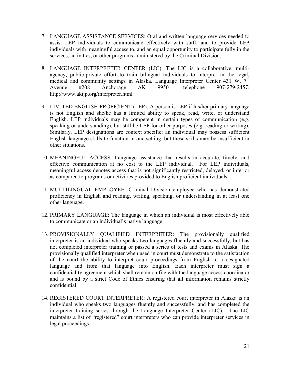- 7. LANGUAGE ASSISTANCE SERVICES: Oral and written language services needed to assist LEP individuals to communicate effectively with staff, and to provide LEP individuals with meaningful access to, and an equal opportunity to participate fully in the services, activities, or other programs administered by the Criminal Division.
- 8. LANGUAGE INTERPRETER CENTER (LIC): The LIC is a collaborative, multiagency, public-private effort to train bilingual individuals to interpret in the legal, medical and community settings in Alaska. Language Interpreter Center 431 W. 7<sup>th</sup> Avenue #208 Anchorage AK 99501 telephone 907-279-2457; http://www.akijp.org/interpreter.html
- 9. LIMITED ENGLISH PROFICIENT (LEP): A person is LEP if his/her primary language is not English and she/he has a limited ability to speak, read, write, or understand English. LEP individuals may be competent in certain types of communication (e.g. speaking or understanding), but still be LEP for other purposes (e.g. reading or writing). Similarly, LEP designations are context specific: an individual may possess sufficient English language skills to function in one setting, but these skills may be insufficient in other situations.
- 10. MEANINGFUL ACCESS: Language assistance that results in accurate, timely, and effective communication at no cost to the LEP individual. For LEP individuals, meaningful access denotes access that is not significantly restricted, delayed, or inferior as compared to programs or activities provided to English proficient individuals.
- 11. MULTILINGUAL EMPLOYEE: Criminal Division employee who has demonstrated proficiency in English and reading, writing, speaking, or understanding in at least one other language.
- 12. PRIMARY LANGUAGE: The language in which an individual is most effectively able to communicate or an individual's native language
- 13. PROVISIONALLY QUALIFIED INTERPRETER: The provisionally qualified interpreter is an individual who speaks two languages fluently and successfully, but has not completed interpreter training or passed a series of tests and exams in Alaska. The provisionally qualified interpreter when used in court must demonstrate to the satisfaction of the court the ability to interpret court proceedings from English to a designated language and from that language into English. Each interpreter must sign a confidentiality agreement which shall remain on file with the language access coordinator and is bound by a strict Code of Ethics ensuring that all information remains strictly confidential.
- 14. REGISTERED COURT INTERPRETER: A registered court interpreter in Alaska is an individual who speaks two languages fluently and successfully, and has completed the interpreter training series through the Language Interpreter Center (LIC). The LIC maintains a list of "registered" court interpreters who can provide interpreter services in legal proceedings.